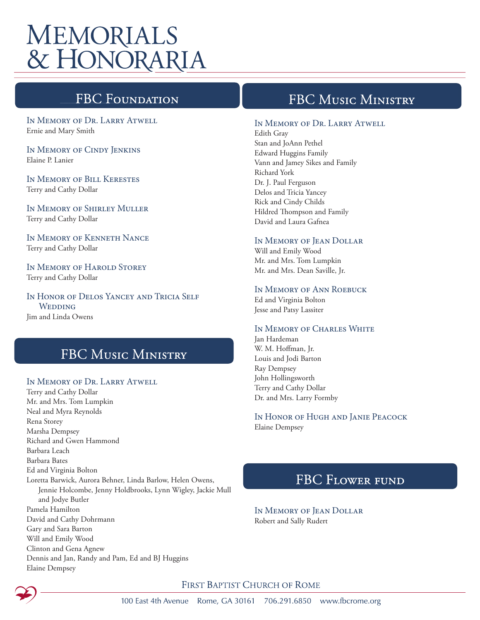# **MEMORIALS** & HONORARIA

# **FBC Foundati**

In Memory of Dr. Larry Atwell Ernie and Mary Smith

In Memory of Cindy Jenkins Elaine P. Lanier

In Memory of Bill Kerestes Terry and Cathy Dollar

In Memory of Shirley Muller Terry and Cathy Dollar

In Memory of Kenneth Nance Terry and Cathy Dollar

IN MEMORY OF HAROLD STOREY Terry and Cathy Dollar

In Honor of Delos Yancey and Tricia Self **WEDDING** Jim and Linda Owens

## **FBC MUSIC MINISTRY**

#### In Memory of Dr. Larry Atwell

Terry and Cathy Dollar Mr. and Mrs. Tom Lumpkin Neal and Myra Reynolds Rena Storey Marsha Dempsey Richard and Gwen Hammond Barbara Leach Barbara Bates Ed and Virginia Bolton Loretta Barwick, Aurora Behner, Linda Barlow, Helen Owens, Jennie Holcombe, Jenny Holdbrooks, Lynn Wigley, Jackie Mull and Jodye Butler Pamela Hamilton David and Cathy Dohrmann Gary and Sara Barton Will and Emily Wood Clinton and Gena Agnew Dennis and Jan, Randy and Pam, Ed and BJ Huggins Elaine Dempsey

## FBC MUSIC MINISTRY

#### In Memory of Dr. Larry Atwell

Edith Gray Stan and JoAnn Pethel Edward Huggins Family Vann and Jamey Sikes and Family Richard York Dr. J. Paul Ferguson Delos and Tricia Yancey Rick and Cindy Childs Hildred Thompson and Family David and Laura Gafnea

#### In Memory of Jean Dollar

Will and Emily Wood Mr. and Mrs. Tom Lumpkin Mr. and Mrs. Dean Saville, Jr.

#### In Memory of Ann Roebuck

Ed and Virginia Bolton Jesse and Patsy Lassiter

#### IN MEMORY OF CHARLES WHITE

Jan Hardeman W. M. Hoffman, Jr. Louis and Jodi Barton Ray Dempsey John Hollingsworth Terry and Cathy Dollar Dr. and Mrs. Larry Formby

In Honor of Hugh and Janie Peacock Elaine Dempsey

### **FBC FLOWER FUND**

In Memory of Jean Dollar Robert and Sally Rudert

FIRST BAPTIST CHURCH OF ROME

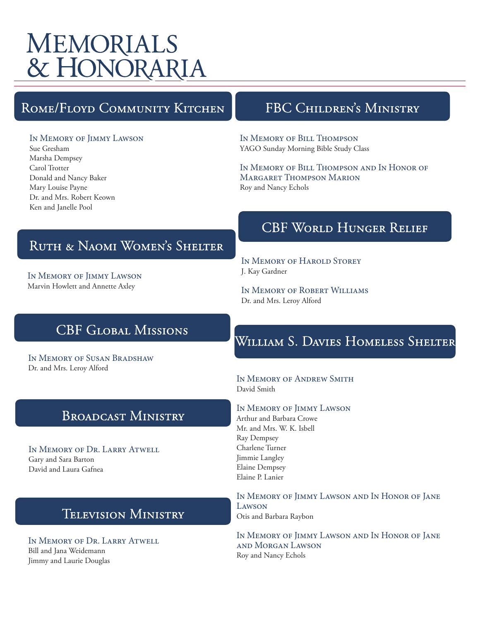# **MEMORIALS** & HONORARIA

# ROME/FLOYD COMMUNITY KITCHEN

# FBC CHILDREN'S MINISTRY

#### In Memory of Jimmy Lawson

Sue Gresham Marsha Dempsey Carol Trotter Donald and Nancy Baker Mary Louise Payne Dr. and Mrs. Robert Keown Ken and Janelle Pool

#### In Memory of Bill Thompson YAGO Sunday Morning Bible Study Class

In Memory of Bill Thompson and In Honor of Margaret Thompson Marion Roy and Nancy Echols

# RUTH & NAOMI WOMEN'S SHELTER

In Memory of Jimmy Lawson Marvin Howlett and Annette Axley

# **CBF WORLD HUNGER RELIEF**

In Memory of Harold Storey J. Kay Gardner

In Memory of Robert Williams Dr. and Mrs. Leroy Alford

# **CBF GLOBAL MISSIONS**

In Memory of Susan Bradshaw Dr. and Mrs. Leroy Alford

# WILLIAM S. DAVIES HOMELESS SHELTER

#### In Memory of Andrew Smith David Smith

#### In Memory of Jimmy Lawson

Arthur and Barbara Crowe Mr. and Mrs. W. K. Isbell Ray Dempsey Charlene Turner Jimmie Langley Elaine Dempsey Elaine P. Lanier

In Memory of Jimmy Lawson and In Honor of Jane Lawson Otis and Barbara Raybon

In Memory of Jimmy Lawson and In Honor of Jane and Morgan Lawson Roy and Nancy Echols

## **BROADCAST MINISTRY**

In Memory of Dr. Larry Atwell Gary and Sara Barton David and Laura Gafnea

# **TELEVISION MINISTRY**

In Memory of Dr. Larry Atwell Bill and Jana Weidemann Jimmy and Laurie Douglas